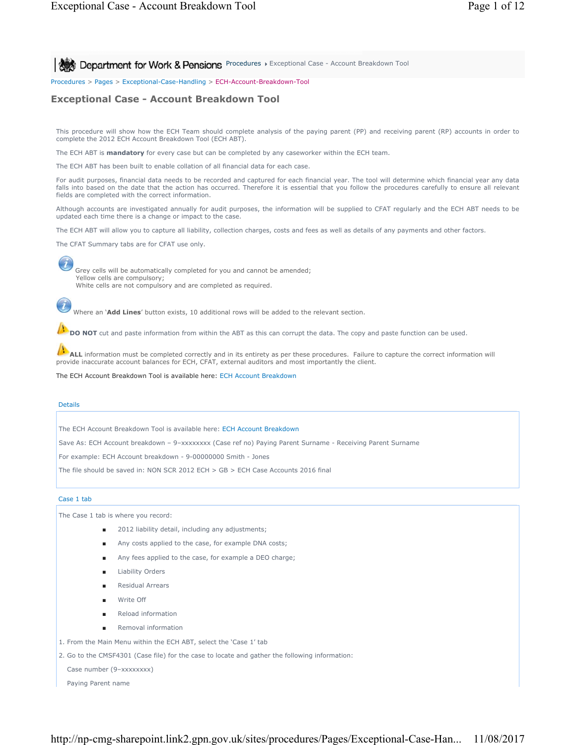**PROCE:** Department for Work & Pensions Procedures > Exceptional Case - Account Breakdown Tool

Procedures > Pages > Exceptional-Case-Handling > ECH-Account-Breakdown-Tool

# **Exceptional Case - Account Breakdown Tool**

This procedure will show how the ECH Team should complete analysis of the paying parent (PP) and receiving parent (RP) accounts in order to complete the 2012 ECH Account Breakdown Tool (ECH ABT).

The ECH ABT is **mandatory** for every case but can be completed by any caseworker within the ECH team.

The ECH ABT has been built to enable collation of all financial data for each case.

For audit purposes, financial data needs to be recorded and captured for each financial year. The tool will determine which financial year any data falls into based on the date that the action has occurred. Therefore it is essential that you follow the procedures carefully to ensure all relevant fields are completed with the correct information.

Although accounts are investigated annually for audit purposes, the information will be supplied to CFAT regularly and the ECH ABT needs to be updated each time there is a change or impact to the case.

The ECH ABT will allow you to capture all liability, collection charges, costs and fees as well as details of any payments and other factors.

The CFAT Summary tabs are for CFAT use only.

Grey cells will be automatically completed for you and cannot be amended; Yellow cells are compulsory; White cells are not compulsory and are completed as required.

Where an '**Add Lines**' button exists, 10 additional rows will be added to the relevant section.

**DO NOT** cut and paste information from within the ABT as this can corrupt the data. The copy and paste function can be used.

ALL information must be completed correctly and in its entirety as per these procedures. Failure to capture the correct information will provide inaccurate account balances for ECH, CFAT, external auditors and most importantly the client.

The ECH Account Breakdown Tool is available here: ECH Account Breakdown

### Details

 $\bm{l}$ 

The ECH Account Breakdown Tool is available here: ECH Account Breakdown

Save As: ECH Account breakdown – 9–xxxxxxxx (Case ref no) Paying Parent Surname - Receiving Parent Surname

For example: ECH Account breakdown - 9-00000000 Smith - Jones

The file should be saved in: NON SCR 2012 ECH > GB > ECH Case Accounts 2016 final

### Case 1 tab

The Case 1 tab is where you record:

- 2012 liability detail, including any adjustments;
- Any costs applied to the case, for example DNA costs;
- Any fees applied to the case, for example a DEO charge;
- Liability Orders
- **Residual Arrears**
- Write Off
- Reload information
- Removal information
- 1. From the Main Menu within the ECH ABT, select the 'Case 1' tab

2. Go to the CMSF4301 (Case file) for the case to locate and gather the following information:

Case number (9-xxxxxxxx)

Paying Parent name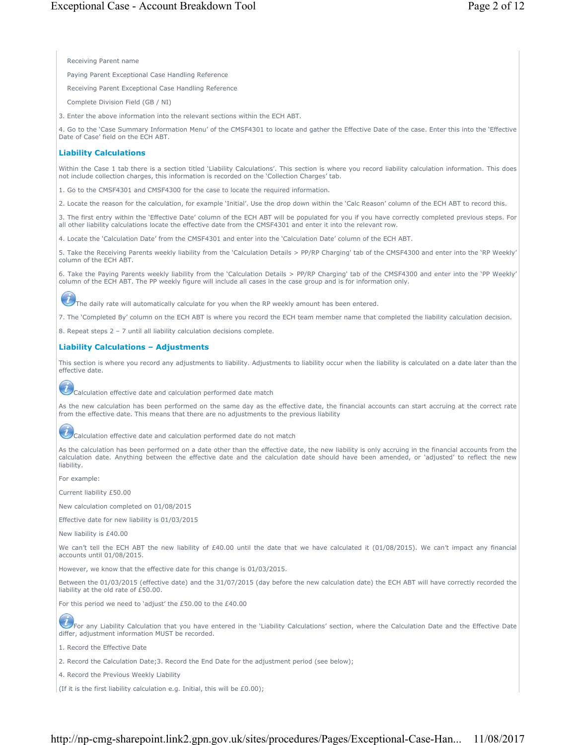Receiving Parent name

Paying Parent Exceptional Case Handling Reference

Receiving Parent Exceptional Case Handling Reference

Complete Division Field (GB / NI)

3. Enter the above information into the relevant sections within the ECH ABT.

4. Go to the 'Case Summary Information Menu' of the CMSF4301 to locate and gather the Effective Date of the case. Enter this into the 'Effective Date of Case' field on the ECH ABT.

## **Liability Calculations**

Within the Case 1 tab there is a section titled 'Liability Calculations'. This section is where you record liability calculation information. This does not include collection charges, this information is recorded on the 'Collection Charges' tab.

1. Go to the CMSF4301 and CMSF4300 for the case to locate the required information.

2. Locate the reason for the calculation, for example 'Initial'. Use the drop down within the 'Calc Reason' column of the ECH ABT to record this.

3. The first entry within the 'Effective Date' column of the ECH ABT will be populated for you if you have correctly completed previous steps. For all other liability calculations locate the effective date from the CMSF4301 and enter it into the relevant row.

4. Locate the 'Calculation Date' from the CMSF4301 and enter into the 'Calculation Date' column of the ECH ABT.

5. Take the Receiving Parents weekly liability from the 'Calculation Details > PP/RP Charging' tab of the CMSF4300 and enter into the 'RP Weekly' column of the ECH ABT.

6. Take the Paying Parents weekly liability from the 'Calculation Details > PP/RP Charging' tab of the CMSF4300 and enter into the 'PP Weekly' column of the ECH ABT. The PP weekly figure will include all cases in the case group and is for information only.

The daily rate will automatically calculate for you when the RP weekly amount has been entered.

7. The 'Completed By' column on the ECH ABT is where you record the ECH team member name that completed the liability calculation decision.

8. Repeat steps 2 – 7 until all liability calculation decisions complete.

## **Liability Calculations – Adjustments**

This section is where you record any adjustments to liability. Adjustments to liability occur when the liability is calculated on a date later than the effective date.



As the new calculation has been performed on the same day as the effective date, the financial accounts can start accruing at the correct rate from the effective date. This means that there are no adjustments to the previous liability

Calculation effective date and calculation performed date do not match

As the calculation has been performed on a date other than the effective date, the new liability is only accruing in the financial accounts from the calculation date. Anything between the effective date and the calculation date should have been amended, or 'adjusted' to reflect the new liability.

For example:

Current liability £50.00

New calculation completed on 01/08/2015

Effective date for new liability is 01/03/2015

New liability is £40.00

We can't tell the ECH ABT the new liability of £40.00 until the date that we have calculated it (01/08/2015). We can't impact any financial accounts until 01/08/2015.

However, we know that the effective date for this change is 01/03/2015.

Between the 01/03/2015 (effective date) and the 31/07/2015 (day before the new calculation date) the ECH ABT will have correctly recorded the liability at the old rate of £50.00.

For this period we need to 'adjust' the £50.00 to the £40.00

For any Liability Calculation that you have entered in the 'Liability Calculations' section, where the Calculation Date and the Effective Date differ, adjustment information MUST be recorded.

1. Record the Effective Date

2. Record the Calculation Date;3. Record the End Date for the adjustment period (see below);

4. Record the Previous Weekly Liability

(If it is the first liability calculation e.g. Initial, this will be £0.00);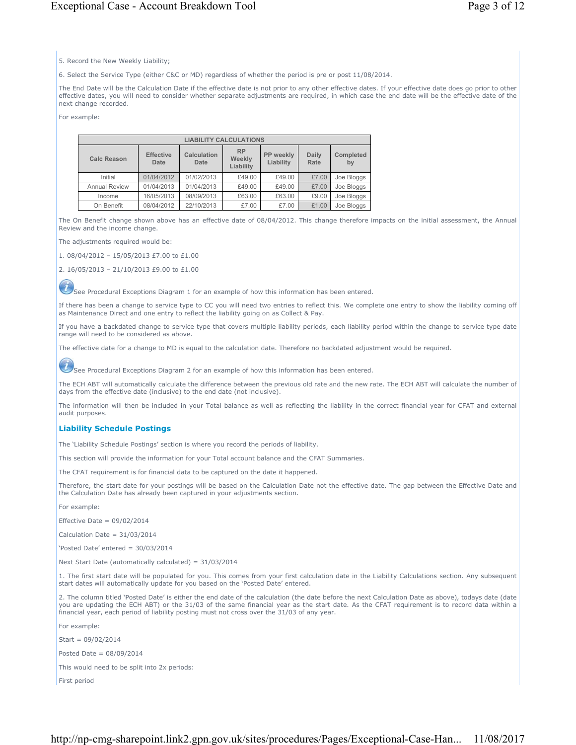# Exceptional Case - Account Breakdown Tool Page 3 of 12

5. Record the New Weekly Liability;

6. Select the Service Type (either C&C or MD) regardless of whether the period is pre or post 11/08/2014.

The End Date will be the Calculation Date if the effective date is not prior to any other effective dates. If your effective date does go prior to other effective dates, you will need to consider whether separate adjustments are required, in which case the end date will be the effective date of the next change recorded.

For example:

| <b>LIABILITY CALCULATIONS</b> |                                                                                                                                       |            |        |        |       |            |  |  |  |
|-------------------------------|---------------------------------------------------------------------------------------------------------------------------------------|------------|--------|--------|-------|------------|--|--|--|
| <b>Calc Reason</b>            | <b>RP</b><br>Calculation<br>PP weekly<br><b>Daily</b><br><b>Effective</b><br>Weekly<br>Liability<br>Rate<br>Date<br>Date<br>Liability |            |        |        |       |            |  |  |  |
| Initial                       | 01/04/2012                                                                                                                            | 01/02/2013 | £49.00 | £49.00 | £7.00 | Joe Bloggs |  |  |  |
| <b>Annual Review</b>          | 01/04/2013                                                                                                                            | 01/04/2013 | £49.00 | £49.00 | £7.00 | Joe Bloggs |  |  |  |
| Income                        | 16/05/2013                                                                                                                            | 08/09/2013 | £63.00 | £63.00 | £9.00 | Joe Bloggs |  |  |  |
| On Benefit                    | 08/04/2012                                                                                                                            | 22/10/2013 | £7.00  | £7.00  | £1.00 | Joe Bloggs |  |  |  |

The On Benefit change shown above has an effective date of 08/04/2012. This change therefore impacts on the initial assessment, the Annual Review and the income change.

The adjustments required would be:

1. 08/04/2012 – 15/05/2013 £7.00 to £1.00

2. 16/05/2013 – 21/10/2013 £9.00 to £1.00

 $\overline{u}$ See Procedural Exceptions Diagram 1 for an example of how this information has been entered.

If there has been a change to service type to CC you will need two entries to reflect this. We complete one entry to show the liability coming off as Maintenance Direct and one entry to reflect the liability going on as Collect & Pay.

If you have a backdated change to service type that covers multiple liability periods, each liability period within the change to service type date range will need to be considered as above.

The effective date for a change to MD is equal to the calculation date. Therefore no backdated adjustment would be required.

 $\mathcal{L}% _{0}\left( \mathcal{L}_{1}\right)$ See Procedural Exceptions Diagram 2 for an example of how this information has been entered.

The ECH ABT will automatically calculate the difference between the previous old rate and the new rate. The ECH ABT will calculate the number of days from the effective date (inclusive) to the end date (not inclusive).

The information will then be included in your Total balance as well as reflecting the liability in the correct financial year for CFAT and external audit purposes.

# **Liability Schedule Postings**

The 'Liability Schedule Postings' section is where you record the periods of liability.

This section will provide the information for your Total account balance and the CFAT Summaries.

The CFAT requirement is for financial data to be captured on the date it happened.

Therefore, the start date for your postings will be based on the Calculation Date not the effective date. The gap between the Effective Date and the Calculation Date has already been captured in your adjustments section.

For example:

Effective Date =  $09/02/2014$ 

Calculation Date = 31/03/2014

'Posted Date' entered = 30/03/2014

Next Start Date (automatically calculated) = 31/03/2014

1. The first start date will be populated for you. This comes from your first calculation date in the Liability Calculations section. Any subsequent start dates will automatically update for you based on the 'Posted Date' entered.

2. The column titled 'Posted Date' is either the end date of the calculation (the date before the next Calculation Date as above), todays date (date you are updating the ECH ABT) or the 31/03 of the same financial year as the start date. As the CFAT requirement is to record data within a financial year, each period of liability posting must not cross over the 31/03 of any year.

For example:

Start = 09/02/2014

Posted Date = 08/09/2014

This would need to be split into 2x periods:

First period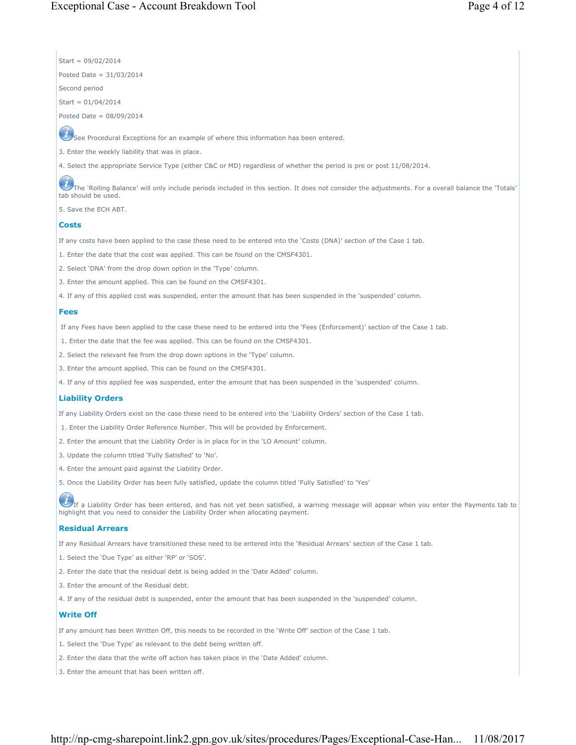Start = 09/02/2014 Posted Date = 31/03/2014

Second period

Start = 01/04/2014

Posted Date = 08/09/2014

 $\mathcal{\mathcal{L}}$  See Procedural Exceptions for an example of where this information has been entered.

3. Enter the weekly liability that was in place.

4. Select the appropriate Service Type (either C&C or MD) regardless of whether the period is pre or post 11/08/2014.

The 'Rolling Balance' will only include periods included in this section. It does not consider the adjustments. For a overall balance the 'Totals' tab should be used.

5. Save the ECH ABT.

# **Costs**

If any costs have been applied to the case these need to be entered into the 'Costs (DNA)' section of the Case 1 tab.

1. Enter the date that the cost was applied. This can be found on the CMSF4301.

2. Select 'DNA' from the drop down option in the 'Type' column.

3. Enter the amount applied. This can be found on the CMSF4301.

4. If any of this applied cost was suspended, enter the amount that has been suspended in the 'suspended' column.

## **Fees**

If any Fees have been applied to the case these need to be entered into the 'Fees (Enforcement)' section of the Case 1 tab.

1. Enter the date that the fee was applied. This can be found on the CMSF4301.

2. Select the relevant fee from the drop down options in the 'Type' column.

3. Enter the amount applied. This can be found on the CMSF4301.

4. If any of this applied fee was suspended, enter the amount that has been suspended in the 'suspended' column.

# **Liability Orders**

If any Liability Orders exist on the case these need to be entered into the 'Liability Orders' section of the Case 1 tab.

1. Enter the Liability Order Reference Number. This will be provided by Enforcement.

2. Enter the amount that the Liability Order is in place for in the 'LO Amount' column.

- 3. Update the column titled 'Fully Satisfied' to 'No'.
- 4. Enter the amount paid against the Liability Order.

5. Once the Liability Order has been fully satisfied, update the column titled 'Fully Satisfied' to 'Yes'

If a Liability Order has been entered, and has not yet been satisfied, a warning message will appear when you enter the Payments tab to highlight that you need to consider the Liability Order when allocating payment.

# **Residual Arrears**

If any Residual Arrears have transitioned these need to be entered into the 'Residual Arrears' section of the Case 1 tab.

- 1. Select the 'Due Type' as either 'RP' or 'SOS'.
- 2. Enter the date that the residual debt is being added in the 'Date Added' column.
- 3. Enter the amount of the Residual debt.
- 4. If any of the residual debt is suspended, enter the amount that has been suspended in the 'suspended' column.

# **Write Off**

If any amount has been Written Off, this needs to be recorded in the 'Write Off' section of the Case 1 tab.

- 1. Select the 'Due Type' as relevant to the debt being written off.
- 2. Enter the date that the write off action has taken place in the 'Date Added' column.
- 3. Enter the amount that has been written off.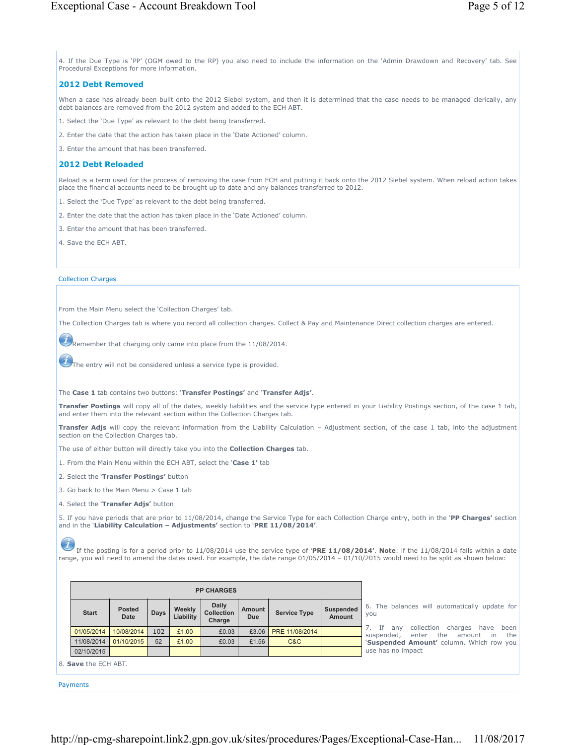4. If the Due Type is 'PP' (OGM owed to the RP) you also need to include the information on the 'Admin Drawdown and Recovery' tab. See Procedural Exceptions for more information.

# **2012 Debt Removed**

When a case has already been built onto the 2012 Siebel system, and then it is determined that the case needs to be managed clerically, any debt balances are removed from the 2012 system and added to the ECH ABT.

- 1. Select the 'Due Type' as relevant to the debt being transferred.
- 2. Enter the date that the action has taken place in the 'Date Actioned' column.

3. Enter the amount that has been transferred.

# **2012 Debt Reloaded**

Reload is a term used for the process of removing the case from ECH and putting it back onto the 2012 Siebel system. When reload action takes place the financial accounts need to be brought up to date and any balances transferred to 2012.

- 1. Select the 'Due Type' as relevant to the debt being transferred.
- 2. Enter the date that the action has taken place in the 'Date Actioned' column.
- 3. Enter the amount that has been transferred.
- 4. Save the ECH ABT.

# Collection Charges

From the Main Menu select the 'Collection Charges' tab.

The Collection Charges tab is where you record all collection charges. Collect & Pay and Maintenance Direct collection charges are entered.

**C**Remember that charging only came into place from the 11/08/2014.

The entry will not be considered unless a service type is provided.

The **Case 1** tab contains two buttons: '**Transfer Postings'** and '**Transfer Adjs'**.

**Transfer Postings** will copy all of the dates, weekly liabilities and the service type entered in your Liability Postings section, of the case 1 tab, and enter them into the relevant section within the Collection Charges tab.

**Transfer Adjs** will copy the relevant information from the Liability Calculation – Adjustment section, of the case 1 tab, into the adjustment section on the Collection Charges tab.

The use of either button will directly take you into the **Collection Charges** tab.

1. From the Main Menu within the ECH ABT, select the '**Case 1'** tab

- 2. Select the '**Transfer Postings'** button
- 3. Go back to the Main Menu > Case 1 tab
- 4. Select the '**Transfer Adjs'** button

5. If you have periods that are prior to 11/08/2014, change the Service Type for each Collection Charge entry, both in the '**PP Charges'** section and in the '**Liability Calculation – Adjustments'** section to '**PRE 11/08/2014'**.

If the posting is for a period prior to 11/08/2014 use the service type of '**PRE 11/08/2014'**. **Note**: if the 11/08/2014 falls within a date range, you will need to amend the dates used. For example, the date range 01/05/2014 – 01/10/2015 would need to be split as shown below:

| <b>PP CHARGES</b> |                       |      |                     |                                      |                      |                     |                                   |                                                                                            |
|-------------------|-----------------------|------|---------------------|--------------------------------------|----------------------|---------------------|-----------------------------------|--------------------------------------------------------------------------------------------|
| <b>Start</b>      | <b>Posted</b><br>Date | Days | Weekly<br>Liability | Daily<br><b>Collection</b><br>Charge | Amount<br><b>Due</b> | <b>Service Type</b> | <b>Suspended</b><br><b>Amount</b> | 6. The balances will automatically update for<br><b>VOU</b>                                |
| 01/05/2014        | 10/08/2014            | 102  | £1.00               | £0.03                                | £3.06                | PRE 11/08/2014      |                                   | collection charges have been<br>- If<br>anv<br>the amount in<br>the<br>suspended,<br>enter |
| 11/08/2014        | 01/10/2015            | 52   | £1.00               | £0.03                                | £1.56                | C&C                 |                                   | 'Suspended Amount' column. Which row you                                                   |
| 02/10/2015        |                       |      |                     |                                      |                      |                     |                                   | use has no impact                                                                          |

8. **Save** the ECH ABT.

Payments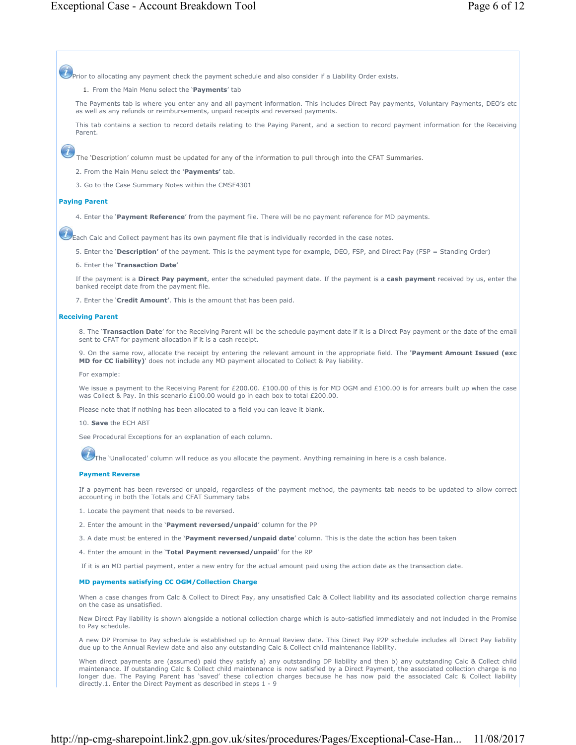$\dot{\mathcal{D}}$ Prior to allocating any payment check the payment schedule and also consider if a Liability Order exists.

## 1. From the Main Menu select the '**Payments**' tab

The Payments tab is where you enter any and all payment information. This includes Direct Pay payments, Voluntary Payments, DEO's etc as well as any refunds or reimbursements, unpaid receipts and reversed payments.

This tab contains a section to record details relating to the Paying Parent, and a section to record payment information for the Receiving Parent.

The 'Description' column must be updated for any of the information to pull through into the CFAT Summaries.

2. From the Main Menu select the '**Payments'** tab.

3. Go to the Case Summary Notes within the CMSF4301

# **Paying Parent**

4. Enter the '**Payment Reference**' from the payment file. There will be no payment reference for MD payments.

Each Calc and Collect payment has its own payment file that is individually recorded in the case notes.

5. Enter the '**Description'** of the payment. This is the payment type for example, DEO, FSP, and Direct Pay (FSP = Standing Order)

6. Enter the '**Transaction Date'**

If the payment is a **Direct Pay payment**, enter the scheduled payment date. If the payment is a **cash payment** received by us, enter the banked receipt date from the payment file.

7. Enter the '**Credit Amount'**. This is the amount that has been paid.

### **Receiving Parent**

8. The '**Transaction Date**' for the Receiving Parent will be the schedule payment date if it is a Direct Pay payment or the date of the email sent to CFAT for payment allocation if it is a cash receipt.

9. On the same row, allocate the receipt by entering the relevant amount in the appropriate field. The **'Payment Amount Issued (exc MD for CC liability)**' does not include any MD payment allocated to Collect & Pay liability.

For example:

We issue a payment to the Receiving Parent for £200.00. £100.00 of this is for MD OGM and £100.00 is for arrears built up when the case was Collect & Pay. In this scenario £100.00 would go in each box to total £200.00.

Please note that if nothing has been allocated to a field you can leave it blank.

10. **Save** the ECH ABT

See Procedural Exceptions for an explanation of each column.

The 'Unallocated' column will reduce as you allocate the payment. Anything remaining in here is a cash balance.

### **Payment Reverse**

If a payment has been reversed or unpaid, regardless of the payment method, the payments tab needs to be updated to allow correct accounting in both the Totals and CFAT Summary tabs

- 1. Locate the payment that needs to be reversed.
- 2. Enter the amount in the '**Payment reversed/unpaid**' column for the PP

3. A date must be entered in the '**Payment reversed/unpaid date**' column. This is the date the action has been taken

4. Enter the amount in the '**Total Payment reversed/unpaid**' for the RP

If it is an MD partial payment, enter a new entry for the actual amount paid using the action date as the transaction date.

### **MD payments satisfying CC OGM/Collection Charge**

When a case changes from Calc & Collect to Direct Pay, any unsatisfied Calc & Collect liability and its associated collection charge remains on the case as unsatisfied.

New Direct Pay liability is shown alongside a notional collection charge which is auto-satisfied immediately and not included in the Promise to Pay schedule.

A new DP Promise to Pay schedule is established up to Annual Review date. This Direct Pay P2P schedule includes all Direct Pay liability due up to the Annual Review date and also any outstanding Calc & Collect child maintenance liability.

When direct payments are (assumed) paid they satisfy a) any outstanding DP liability and then b) any outstanding Calc & Collect child maintenance. If outstanding Calc & Collect child maintenance is now satisfied by a Direct Payment, the associated collection charge is no longer due. The Paying Parent has 'saved' these collection charges because he has now paid the associated Calc & Collect liability directly.1. Enter the Direct Payment as described in steps 1 - 9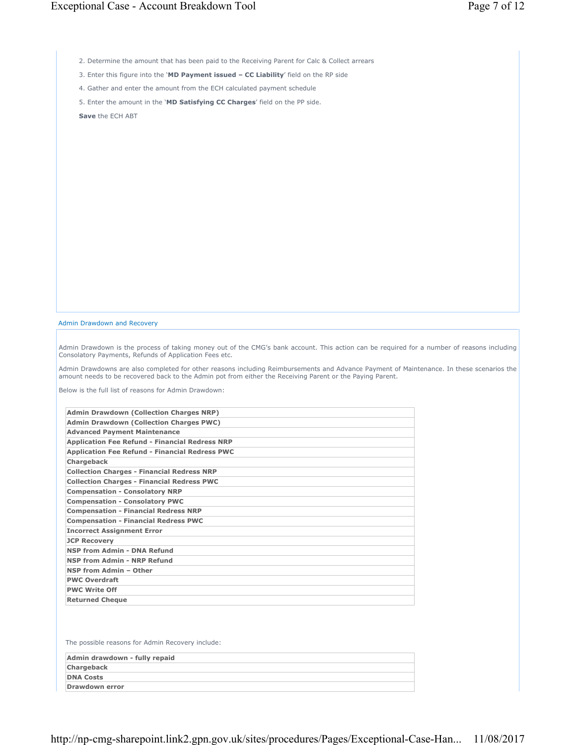2. Determine the amount that has been paid to the Receiving Parent for Calc & Collect arrears

3. Enter this figure into the '**MD Payment issued – CC Liability**' field on the RP side

4. Gather and enter the amount from the ECH calculated payment schedule

5. Enter the amount in the '**MD Satisfying CC Charges**' field on the PP side.

**Save** the ECH ABT

## Admin Drawdown and Recovery

Admin Drawdown is the process of taking money out of the CMG's bank account. This action can be required for a number of reasons including Consolatory Payments, Refunds of Application Fees etc.

Admin Drawdowns are also completed for other reasons including Reimbursements and Advance Payment of Maintenance. In these scenarios the amount needs to be recovered back to the Admin pot from either the Receiving Parent or the Paying Parent.

Below is the full list of reasons for Admin Drawdown:

| <b>Admin Drawdown (Collection Charges NRP)</b>        |
|-------------------------------------------------------|
| <b>Admin Drawdown (Collection Charges PWC)</b>        |
| <b>Advanced Payment Maintenance</b>                   |
| <b>Application Fee Refund - Financial Redress NRP</b> |
| <b>Application Fee Refund - Financial Redress PWC</b> |
| <b>Chargeback</b>                                     |
| <b>Collection Charges - Financial Redress NRP</b>     |
| <b>Collection Charges - Financial Redress PWC</b>     |
| <b>Compensation - Consolatory NRP</b>                 |
| <b>Compensation - Consolatory PWC</b>                 |
| <b>Compensation - Financial Redress NRP</b>           |
| <b>Compensation - Financial Redress PWC</b>           |
| <b>Incorrect Assignment Error</b>                     |
| <b>JCP Recovery</b>                                   |
| <b>NSP from Admin - DNA Refund</b>                    |
| NSP from Admin - NRP Refund                           |
| NSP from Admin - Other                                |
| <b>PWC Overdraft</b>                                  |
| <b>PWC Write Off</b>                                  |
| <b>Returned Cheque</b>                                |

The possible reasons for Admin Recovery include:

| Admin drawdown - fully repaid |  |
|-------------------------------|--|
| Chargeback                    |  |
| <b>DNA Costs</b>              |  |
| <b>Drawdown error</b>         |  |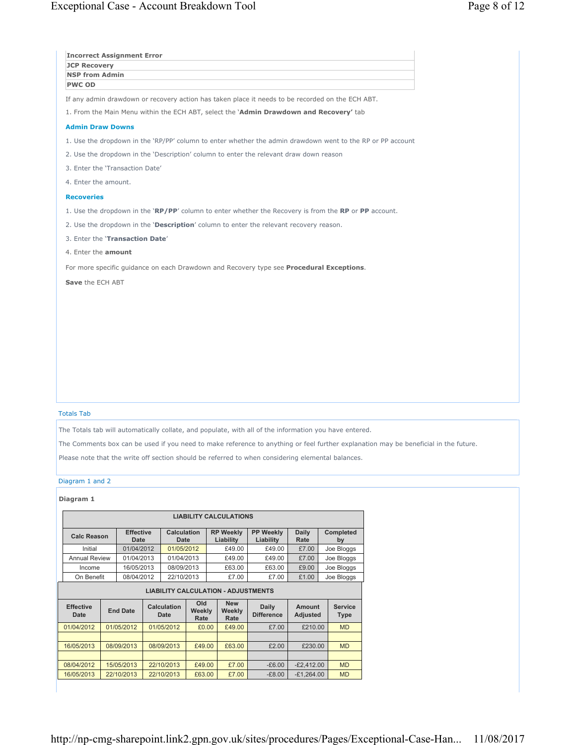| <b>JCP Recovery</b>             |                 | <b>Incorrect Assignment Error</b> |                            |                       |                                            |                                                                                        |                           |                                                                                                                                                                                                                                                                                                                                                    |
|---------------------------------|-----------------|-----------------------------------|----------------------------|-----------------------|--------------------------------------------|----------------------------------------------------------------------------------------|---------------------------|----------------------------------------------------------------------------------------------------------------------------------------------------------------------------------------------------------------------------------------------------------------------------------------------------------------------------------------------------|
| <b>NSP from Admin</b>           |                 |                                   |                            |                       |                                            |                                                                                        |                           |                                                                                                                                                                                                                                                                                                                                                    |
| <b>PWC OD</b>                   |                 |                                   |                            |                       |                                            |                                                                                        |                           |                                                                                                                                                                                                                                                                                                                                                    |
|                                 |                 |                                   |                            |                       |                                            |                                                                                        |                           | If any admin drawdown or recovery action has taken place it needs to be recorded on the ECH ABT.                                                                                                                                                                                                                                                   |
|                                 |                 |                                   |                            |                       |                                            |                                                                                        |                           | 1. From the Main Menu within the ECH ABT, select the 'Admin Drawdown and Recovery' tab                                                                                                                                                                                                                                                             |
| <b>Admin Draw Downs</b>         |                 |                                   |                            |                       |                                            |                                                                                        |                           |                                                                                                                                                                                                                                                                                                                                                    |
|                                 |                 |                                   |                            |                       |                                            |                                                                                        |                           | 1. Use the dropdown in the 'RP/PP' column to enter whether the admin drawdown went to the RP or PP account                                                                                                                                                                                                                                         |
|                                 |                 |                                   |                            |                       |                                            | 2. Use the dropdown in the 'Description' column to enter the relevant draw down reason |                           |                                                                                                                                                                                                                                                                                                                                                    |
|                                 |                 | 3. Enter the 'Transaction Date'   |                            |                       |                                            |                                                                                        |                           |                                                                                                                                                                                                                                                                                                                                                    |
| 4. Enter the amount.            |                 |                                   |                            |                       |                                            |                                                                                        |                           |                                                                                                                                                                                                                                                                                                                                                    |
| <b>Recoveries</b>               |                 |                                   |                            |                       |                                            |                                                                                        |                           |                                                                                                                                                                                                                                                                                                                                                    |
|                                 |                 |                                   |                            |                       |                                            |                                                                                        |                           | 1. Use the dropdown in the 'RP/PP' column to enter whether the Recovery is from the RP or PP account.                                                                                                                                                                                                                                              |
|                                 |                 |                                   |                            |                       |                                            | 2. Use the dropdown in the 'Description' column to enter the relevant recovery reason. |                           |                                                                                                                                                                                                                                                                                                                                                    |
|                                 |                 | 3. Enter the 'Transaction Date'   |                            |                       |                                            |                                                                                        |                           |                                                                                                                                                                                                                                                                                                                                                    |
| 4. Enter the amount             |                 |                                   |                            |                       |                                            |                                                                                        |                           |                                                                                                                                                                                                                                                                                                                                                    |
|                                 |                 |                                   |                            |                       |                                            |                                                                                        |                           |                                                                                                                                                                                                                                                                                                                                                    |
|                                 |                 |                                   |                            |                       |                                            |                                                                                        |                           | For more specific guidance on each Drawdown and Recovery type see Procedural Exceptions.                                                                                                                                                                                                                                                           |
|                                 |                 |                                   |                            |                       |                                            |                                                                                        |                           |                                                                                                                                                                                                                                                                                                                                                    |
| <b>Totals Tab</b>               |                 |                                   |                            |                       |                                            |                                                                                        |                           | The Totals tab will automatically collate, and populate, with all of the information you have entered.<br>The Comments box can be used if you need to make reference to anything or feel further explanation may be beneficial in the future.<br>Please note that the write off section should be referred to when considering elemental balances. |
|                                 |                 |                                   |                            |                       |                                            |                                                                                        |                           |                                                                                                                                                                                                                                                                                                                                                    |
| Diagram 1 and 2<br>Diagram 1    |                 |                                   |                            |                       |                                            |                                                                                        |                           |                                                                                                                                                                                                                                                                                                                                                    |
|                                 |                 |                                   |                            |                       | <b>LIABILITY CALCULATIONS</b>              |                                                                                        |                           |                                                                                                                                                                                                                                                                                                                                                    |
| <b>Calc Reason</b>              |                 | <b>Effective</b><br><b>Date</b>   | Calculation<br><b>Date</b> |                       | <b>RP Weekly</b><br>Liability              | <b>PP Weekly</b><br>Liability                                                          | <b>Daily</b><br>Rate      | Completed<br>by                                                                                                                                                                                                                                                                                                                                    |
| Initial<br><b>Annual Review</b> |                 | 01/04/2012<br>01/04/2013          | 01/05/2012<br>01/04/2013   |                       | £49.00<br>£49.00                           | £49.00<br>£49.00                                                                       | £7.00<br>£7.00            | Joe Bloggs                                                                                                                                                                                                                                                                                                                                         |
| Income                          |                 | 16/05/2013                        | 08/09/2013                 |                       | £63.00                                     | £63.00                                                                                 | £9.00                     | Joe Bloggs<br>Joe Bloggs                                                                                                                                                                                                                                                                                                                           |
| On Benefit                      |                 | 08/04/2012                        | 22/10/2013                 |                       | £7.00                                      | £7.00                                                                                  | £1.00                     | Joe Bloggs                                                                                                                                                                                                                                                                                                                                         |
|                                 |                 |                                   |                            |                       | <b>LIABILITY CALCULATION - ADJUSTMENTS</b> |                                                                                        |                           |                                                                                                                                                                                                                                                                                                                                                    |
| <b>Effective</b><br><b>Date</b> | <b>End Date</b> |                                   | Calculation<br><b>Date</b> | Old<br>Weekly<br>Rate | <b>New</b><br>Weekly<br>Rate               | <b>Daily</b><br><b>Difference</b>                                                      | Amount<br><b>Adjusted</b> | <b>Service</b><br><b>Type</b>                                                                                                                                                                                                                                                                                                                      |

16/05/2013 08/09/2013 08/09/2013 £49.00 £63.00 £2.00 £230.00 MD

08/04/2012 15/05/2013 22/10/2013 £49.00 £7.00 -£6.00 -£2,412.00 MD 22/10/2013 22/10/2013 £63.00 £7.00 -£8.00 -£1,264.00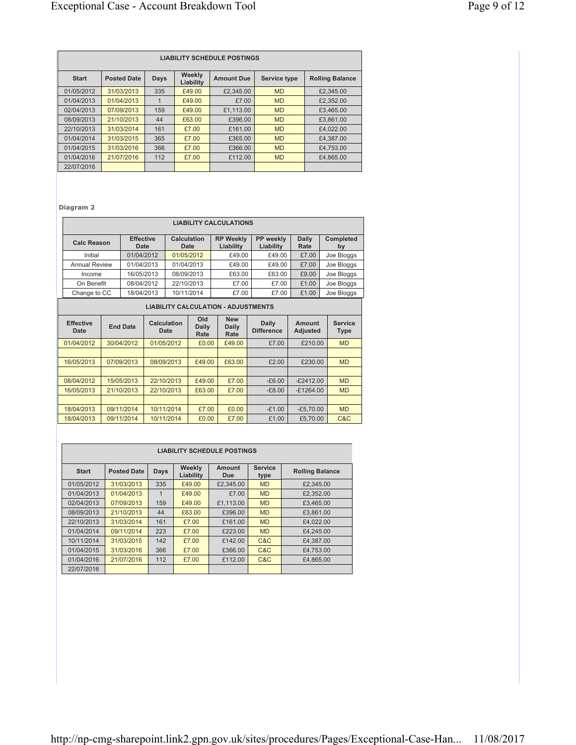| <b>LIABILITY SCHEDULE POSTINGS</b> |                    |      |                     |                   |              |                        |  |  |  |
|------------------------------------|--------------------|------|---------------------|-------------------|--------------|------------------------|--|--|--|
| <b>Start</b>                       | <b>Posted Date</b> | Days | Weekly<br>Liability | <b>Amount Due</b> | Service type | <b>Rolling Balance</b> |  |  |  |
| 01/05/2012                         | 31/03/2013         | 335  | £49.00              | £2,345.00         | <b>MD</b>    | £2,345.00              |  |  |  |
| 01/04/2013                         | 01/04/2013         | 1    | £49.00              | £7.00             | <b>MD</b>    | £2,352.00              |  |  |  |
| 02/04/2013                         | 07/09/2013         | 159  | £49.00              | £1.113.00         | <b>MD</b>    | £3,465.00              |  |  |  |
| 08/09/2013                         | 21/10/2013         | 44   | £63.00              | £396.00           | <b>MD</b>    | £3.861.00              |  |  |  |
| 22/10/2013                         | 31/03/2014         | 161  | £7.00               | £161.00           | <b>MD</b>    | £4.022.00              |  |  |  |
| 01/04/2014                         | 31/03/2015         | 365  | £7.00               | £365.00           | <b>MD</b>    | £4,387.00              |  |  |  |
| 01/04/2015                         | 31/03/2016         | 366  | £7.00               | £366.00           | <b>MD</b>    | £4,753,00              |  |  |  |
| 01/04/2016                         | 21/07/2016         | 112  | £7.00               | £112.00           | <b>MD</b>    | £4,865,00              |  |  |  |
| 22/07/2016                         |                    |      |                     |                   |              |                        |  |  |  |

**Diagram 2**

| <b>LIABILITY CALCULATIONS</b>                                                     |                                                |                     |                               |                        |                      |                 |  |  |  |  |
|-----------------------------------------------------------------------------------|------------------------------------------------|---------------------|-------------------------------|------------------------|----------------------|-----------------|--|--|--|--|
| <b>Calc Reason</b>                                                                | <b>Effective</b><br>Date                       | Calculation<br>Date | <b>RP Weekly</b><br>Liability | PP weekly<br>Liability | <b>Daily</b><br>Rate | Completed<br>by |  |  |  |  |
| Initial                                                                           | 01/04/2012                                     | 01/05/2012          | £49.00                        | £49.00                 | £7.00                | Joe Bloggs      |  |  |  |  |
| <b>Annual Review</b>                                                              | 01/04/2013                                     | 01/04/2013          | £49.00                        | £49.00                 | £7.00                | Joe Bloggs      |  |  |  |  |
| Income                                                                            | 16/05/2013                                     | 08/09/2013          | £63.00                        | £63.00                 | £9.00                | Joe Bloggs      |  |  |  |  |
| On Benefit                                                                        | 08/04/2012                                     | 22/10/2013          | £7.00                         | £7.00                  | £1.00                | Joe Bloggs      |  |  |  |  |
| 10/11/2014<br>18/04/2013<br>£7.00<br>£1.00<br>£7.00<br>Joe Bloggs<br>Change to CC |                                                |                     |                               |                        |                      |                 |  |  |  |  |
|                                                                                   | <b>LIADU ITV CALCULATION</b><br>AD ILIOTRAPHEO |                     |                               |                        |                      |                 |  |  |  |  |

| <b>LIABILITY CALCULATION - ADJUSTMENTS</b> |                 |                     |                      |                             |                            |                           |                               |  |  |  |
|--------------------------------------------|-----------------|---------------------|----------------------|-----------------------------|----------------------------|---------------------------|-------------------------------|--|--|--|
| <b>Effective</b><br>Date                   | <b>End Date</b> | Calculation<br>Date | Old<br>Daily<br>Rate | <b>New</b><br>Daily<br>Rate | Daily<br><b>Difference</b> | Amount<br><b>Adjusted</b> | <b>Service</b><br><b>Type</b> |  |  |  |
| 01/04/2012                                 | 30/04/2012      | 01/05/2012          | £0.00                | £49.00                      | £7.00                      | £210.00                   | <b>MD</b>                     |  |  |  |
|                                            |                 |                     |                      |                             |                            |                           |                               |  |  |  |
| 16/05/2013                                 | 07/09/2013      | 08/09/2013          | £49.00               | £63.00                      | £2.00                      | £230.00                   | <b>MD</b>                     |  |  |  |
|                                            |                 |                     |                      |                             |                            |                           |                               |  |  |  |
| 08/04/2012                                 | 15/05/2013      | 22/10/2013          | £49.00               | £7.00                       | $-E6.00$                   | $-E2412.00$               | <b>MD</b>                     |  |  |  |
| 16/05/2013                                 | 21/10/2013      | 22/10/2013          | £63.00               | £7.00                       | $-E8.00$                   | $-E1264.00$               | <b>MD</b>                     |  |  |  |
|                                            |                 |                     |                      |                             |                            |                           |                               |  |  |  |
| 18/04/2013                                 | 09/11/2014      | 10/11/2014          | £7.00                | £0.00                       | $-£1.00$                   | $-E5.70.00$               | <b>MD</b>                     |  |  |  |
| 18/04/2013                                 | 09/11/2014      | 10/11/2014          | £0.00                | £7.00                       | £1.00                      | £5.70.00                  | C&C                           |  |  |  |

| <b>LIABILITY SCHEDULE POSTINGS</b> |                    |              |                     |               |                        |                        |  |  |
|------------------------------------|--------------------|--------------|---------------------|---------------|------------------------|------------------------|--|--|
| <b>Start</b>                       | <b>Posted Date</b> | Days         | Weekly<br>Liability | Amount<br>Due | <b>Service</b><br>type | <b>Rolling Balance</b> |  |  |
| 01/05/2012                         | 31/03/2013         | 335          | £49.00              | £2,345.00     | <b>MD</b>              | £2,345.00              |  |  |
| 01/04/2013                         | 01/04/2013         | $\mathbf{1}$ | £49.00              | £7.00         | <b>MD</b>              | £2,352.00              |  |  |
| 02/04/2013                         | 07/09/2013         | 159          | £49.00              | £1.113.00     | <b>MD</b>              | £3,465.00              |  |  |
| 08/09/2013                         | 21/10/2013         | 44           | £63.00              | £396.00       | <b>MD</b>              | £3,861.00              |  |  |
| 22/10/2013                         | 31/03/2014         | 161          | £7.00               | £161.00       | <b>MD</b>              | £4.022.00              |  |  |
| 01/04/2014                         | 09/11/2014         | 223          | £7.00               | £223.00       | <b>MD</b>              | £4,245.00              |  |  |
| 10/11/2014                         | 31/03/2015         | 142          | £7.00               | £142.00       | C&C                    | £4.387.00              |  |  |
| 01/04/2015                         | 31/03/2016         | 366          | £7.00               | £366.00       | C&C                    | £4,753.00              |  |  |
| 01/04/2016                         | 21/07/2016         | 112          | £7.00               | £112.00       | C&C                    | £4,865.00              |  |  |
| 22/07/2016                         |                    |              |                     |               |                        |                        |  |  |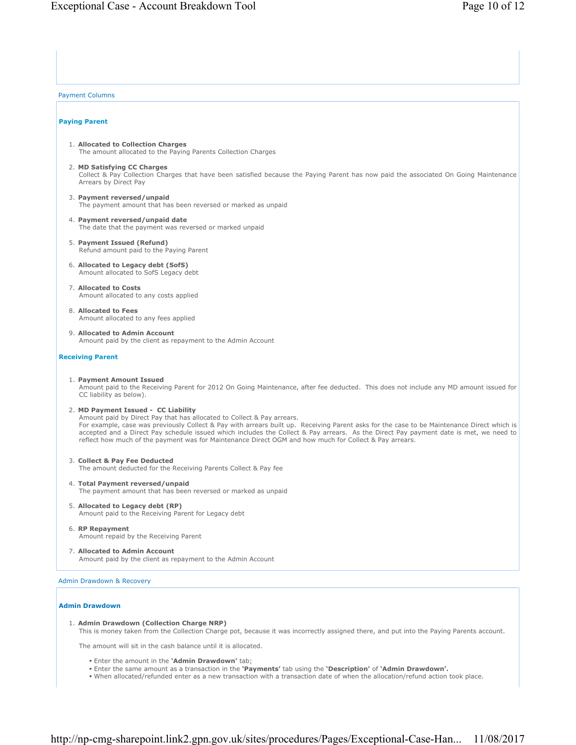Payment Columns

## **Paying Parent**

- 1. **Allocated to Collection Charges** The amount allocated to the Paying Parents Collection Charges
- 2. **MD Satisfying CC Charges** Collect & Pay Collection Charges that have been satisfied because the Paying Parent has now paid the associated On Going Maintenance Arrears by Direct Pay
- 3. **Payment reversed/unpaid** The payment amount that has been reversed or marked as unpaid
- 4. **Payment reversed/unpaid date** The date that the payment was reversed or marked unpaid
- 5. **Payment Issued (Refund)** Refund amount paid to the Paying Parent
- 6. **Allocated to Legacy debt (SofS)** Amount allocated to SofS Legacy debt
- 7. **Allocated to Costs** Amount allocated to any costs applied
- 8. **Allocated to Fees** Amount allocated to any fees applied
- 9. **Allocated to Admin Account** Amount paid by the client as repayment to the Admin Account

### **Receiving Parent**

1. **Payment Amount Issued**

Amount paid to the Receiving Parent for 2012 On Going Maintenance, after fee deducted. This does not include any MD amount issued for CC liability as below).

- 2. **MD Payment Issued CC Liability**
	- Amount paid by Direct Pay that has allocated to Collect & Pay arrears. For example, case was previously Collect & Pay with arrears built up. Receiving Parent asks for the case to be Maintenance Direct which is accepted and a Direct Pay schedule issued which includes the Collect & Pay arrears. As the Direct Pay payment date is met, we need to reflect how much of the payment was for Maintenance Direct OGM and how much for Collect & Pay arrears.
- 3. **Collect & Pay Fee Deducted** The amount deducted for the Receiving Parents Collect & Pay fee
- 4. **Total Payment reversed/unpaid** The payment amount that has been reversed or marked as unpaid
- 5. **Allocated to Legacy debt (RP)** Amount paid to the Receiving Parent for Legacy debt
- 6. **RP Repayment** Amount repaid by the Receiving Parent
- 7. **Allocated to Admin Account** Amount paid by the client as repayment to the Admin Account

Admin Drawdown & Recovery

### **Admin Drawdown**

1. **Admin Drawdown (Collection Charge NRP)**

This is money taken from the Collection Charge pot, because it was incorrectly assigned there, and put into the Paying Parents account.

The amount will sit in the cash balance until it is allocated.

- Enter the amount in the **'Admin Drawdown'** tab;
- Enter the same amount as a transaction in the **'Payments'** tab using the **'Description'** of **'Admin Drawdown'.**
- When allocated/refunded enter as a new transaction with a transaction date of when the allocation/refund action took place.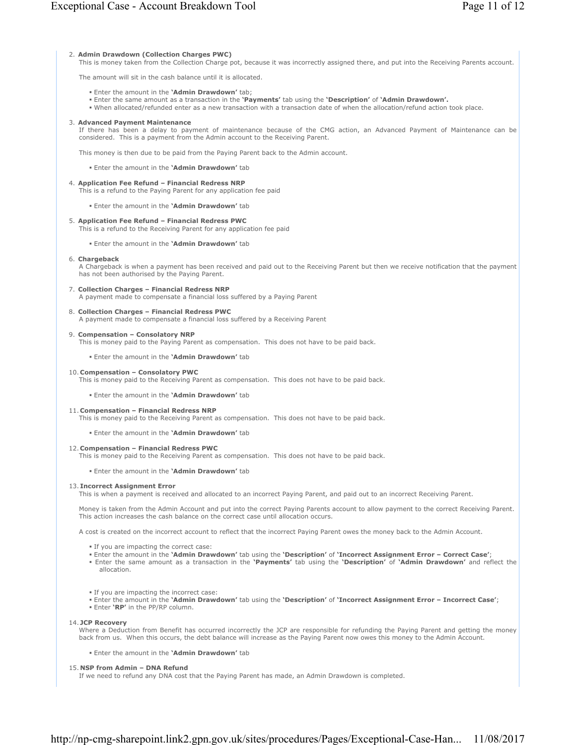#### 2. **Admin Drawdown (Collection Charges PWC)**

This is money taken from the Collection Charge pot, because it was incorrectly assigned there, and put into the Receiving Parents account.

The amount will sit in the cash balance until it is allocated.

- Enter the amount in the **'Admin Drawdown'** tab;
- Enter the same amount as a transaction in the **'Payments'** tab using the **'Description'** of **'Admin Drawdown'.**
- When allocated/refunded enter as a new transaction with a transaction date of when the allocation/refund action took place.

#### 3. **Advanced Payment Maintenance**

If there has been a delay to payment of maintenance because of the CMG action, an Advanced Payment of Maintenance can be considered. This is a payment from the Admin account to the Receiving Parent.

This money is then due to be paid from the Paying Parent back to the Admin account.

Enter the amount in the **'Admin Drawdown'** tab

- 4. **Application Fee Refund Financial Redress NRP**
	- This is a refund to the Paying Parent for any application fee paid

Enter the amount in the **'Admin Drawdown'** tab

- 5. **Application Fee Refund Financial Redress PWC**
	- This is a refund to the Receiving Parent for any application fee paid
		- Enter the amount in the **'Admin Drawdown'** tab

#### 6. **Chargeback**

A Chargeback is when a payment has been received and paid out to the Receiving Parent but then we receive notification that the payment has not been authorised by the Paying Parent.

7. **Collection Charges – Financial Redress NRP** A payment made to compensate a financial loss suffered by a Paying Parent

8. **Collection Charges – Financial Redress PWC**

A payment made to compensate a financial loss suffered by a Receiving Parent

#### 9. **Compensation – Consolatory NRP**

This is money paid to the Paying Parent as compensation. This does not have to be paid back.

Enter the amount in the **'Admin Drawdown'** tab

#### 10. **Compensation – Consolatory PWC**

This is money paid to the Receiving Parent as compensation. This does not have to be paid back.

- Enter the amount in the **'Admin Drawdown'** tab
- 11. **Compensation Financial Redress NRP**

This is money paid to the Receiving Parent as compensation. This does not have to be paid back.

Enter the amount in the **'Admin Drawdown'** tab

#### 12. **Compensation – Financial Redress PWC**

This is money paid to the Receiving Parent as compensation. This does not have to be paid back.

Enter the amount in the **'Admin Drawdown'** tab

### 13. **Incorrect Assignment Error**

This is when a payment is received and allocated to an incorrect Paying Parent, and paid out to an incorrect Receiving Parent.

Money is taken from the Admin Account and put into the correct Paying Parents account to allow payment to the correct Receiving Parent. This action increases the cash balance on the correct case until allocation occurs.

A cost is created on the incorrect account to reflect that the incorrect Paying Parent owes the money back to the Admin Account.

- If you are impacting the correct case:
- Enter the amount in the **'Admin Drawdown'** tab using the **'Description'** of **'Incorrect Assignment Error Correct Case'**;
- Enter the same amount as a transaction in the **'Payments'** tab using the **'Description'** of **'Admin Drawdown'** and reflect the allocation.
- If you are impacting the incorrect case:
- Enter the amount in the **'Admin Drawdown'** tab using the **'Description'** of **'Incorrect Assignment Error Incorrect Case'**;
- Enter **'RP'** in the PP/RP column.
- 14. **JCP Recovery**

Where a Deduction from Benefit has occurred incorrectly the JCP are responsible for refunding the Paying Parent and getting the money back from us. When this occurs, the debt balance will increase as the Paying Parent now owes this money to the Admin Account.

Enter the amount in the **'Admin Drawdown'** tab

### 15. **NSP from Admin – DNA Refund**

If we need to refund any DNA cost that the Paying Parent has made, an Admin Drawdown is completed.